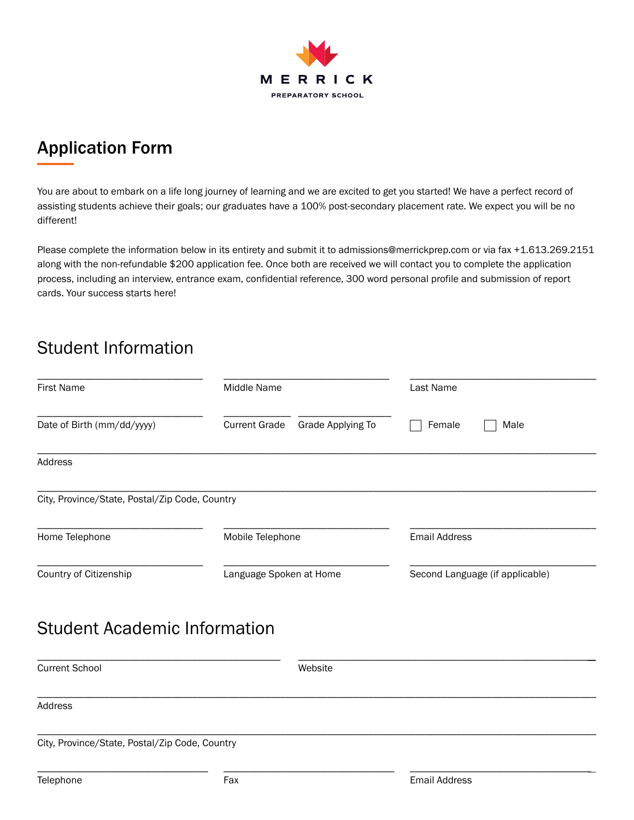

# Application Form

You are about to embark on a life long journey of learning and we are excited to get you started! We have a perfect record of assisting students achieve their goals; our graduates have a 100% post-secondary placement rate. We expect you will be no different!

Please complete the information below in its entirety and submit it to admissions@merrickprep.com or via fax +1.613.269.2151 along with the non-refundable \$200 application fee. Once both are received we will contact you to complete the application process, including an interview, entrance exam, confidential reference, 300 word personal profile and submission of report cards. Your success starts here!

# Student Information

| <b>First Name</b>                              | Middle Name                                      | Last Name                       |  |
|------------------------------------------------|--------------------------------------------------|---------------------------------|--|
| Date of Birth (mm/dd/yyyy)                     | <b>Current Grade</b><br><b>Grade Applying To</b> | Female<br>Male                  |  |
| Address                                        |                                                  |                                 |  |
| City, Province/State, Postal/Zip Code, Country |                                                  |                                 |  |
| Home Telephone                                 | Mobile Telephone                                 | <b>Email Address</b>            |  |
| Country of Citizenship                         | Language Spoken at Home                          | Second Language (if applicable) |  |
| <b>Student Academic Information</b>            |                                                  |                                 |  |
| <b>Current School</b>                          | Website                                          |                                 |  |
| Address                                        |                                                  |                                 |  |
| City, Province/State, Postal/Zip Code, Country |                                                  |                                 |  |

\_\_\_\_\_\_\_\_\_\_\_\_\_\_\_\_\_\_\_\_\_\_\_\_\_\_\_\_\_\_\_\_\_ \_\_\_\_\_\_\_\_\_\_\_\_\_\_\_\_\_\_\_\_\_\_\_\_\_\_\_\_\_\_\_\_\_ \_\_\_\_\_\_\_\_\_\_\_\_\_\_\_\_\_\_\_\_\_\_\_\_\_\_\_\_\_\_\_\_\_\_\_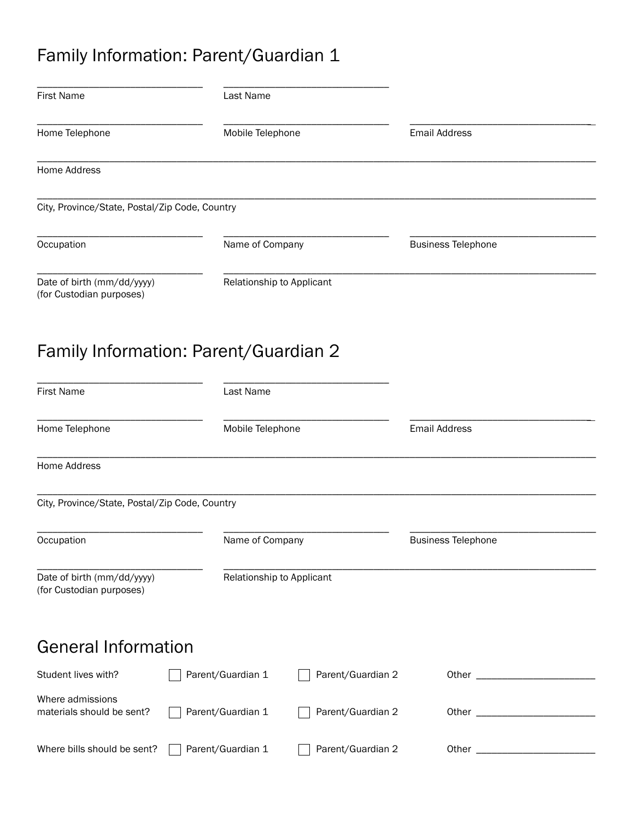# Family Information: Parent/Guardian 1

| <b>First Name</b>                                      | Last Name                 |                   |                           |  |
|--------------------------------------------------------|---------------------------|-------------------|---------------------------|--|
| Home Telephone                                         | Mobile Telephone          |                   | <b>Email Address</b>      |  |
| Home Address                                           |                           |                   |                           |  |
| City, Province/State, Postal/Zip Code, Country         |                           |                   |                           |  |
| Occupation                                             | Name of Company           |                   | <b>Business Telephone</b> |  |
| Date of birth (mm/dd/yyyy)<br>(for Custodian purposes) | Relationship to Applicant |                   |                           |  |
| Family Information: Parent/Guardian 2                  |                           |                   |                           |  |
| <b>First Name</b>                                      | Last Name                 |                   |                           |  |
| Home Telephone                                         | Mobile Telephone          |                   | <b>Email Address</b>      |  |
| Home Address                                           |                           |                   |                           |  |
| City, Province/State, Postal/Zip Code, Country         |                           |                   |                           |  |
| Occupation                                             | Name of Company           |                   | <b>Business Telephone</b> |  |
| Date of birth (mm/dd/yyyy)<br>(for Custodian purposes) | Relationship to Applicant |                   |                           |  |
| <b>General Information</b>                             |                           |                   |                           |  |
| Student lives with?                                    | Parent/Guardian 1         | Parent/Guardian 2 |                           |  |
| Where admissions<br>materials should be sent?          | Parent/Guardian 1         | Parent/Guardian 2 |                           |  |
| Where bills should be sent?                            | Parent/Guardian 1         | Parent/Guardian 2 |                           |  |